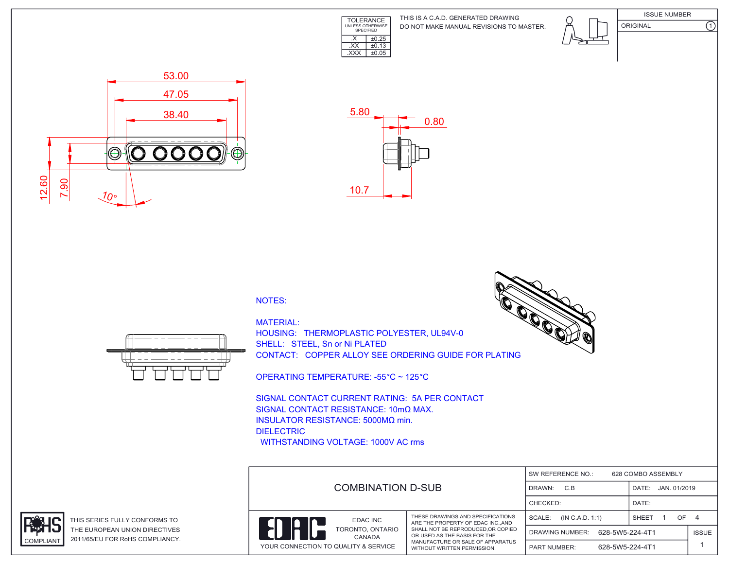

DO NOT MAKE MANUAL REVISIONS TO MASTER. THIS IS A C.A.D. GENERATED DRAWING





ORIGINAL (1)





## NOTES:



HOUSING: THERMOPLASTIC POLYESTER, UL94V-0 SHELL: STEEL, Sn or Ni PLATED CONTACT: COPPER ALLOY SEE ORDERING GUIDE FOR PLATING

OPERATING TEMPERATURE: -55 °C ~ 125 °C

SIGNAL CONTACT CURRENT RATING: 5A PER CONTACT SIGNAL CONTACT RESISTANCE: 10mΩ MAX. INSULATOR RESISTANCE: 5000MΩ min. DIELECTRIC WITHSTANDING VOLTAGE: 1000V AC rms





THIS SERIES FULLY CONFORMS TO THE EUROPEAN UNION DIRECTIVES COMPLIANT 2011/65/EU FOR RoHS COMPLIANCY.



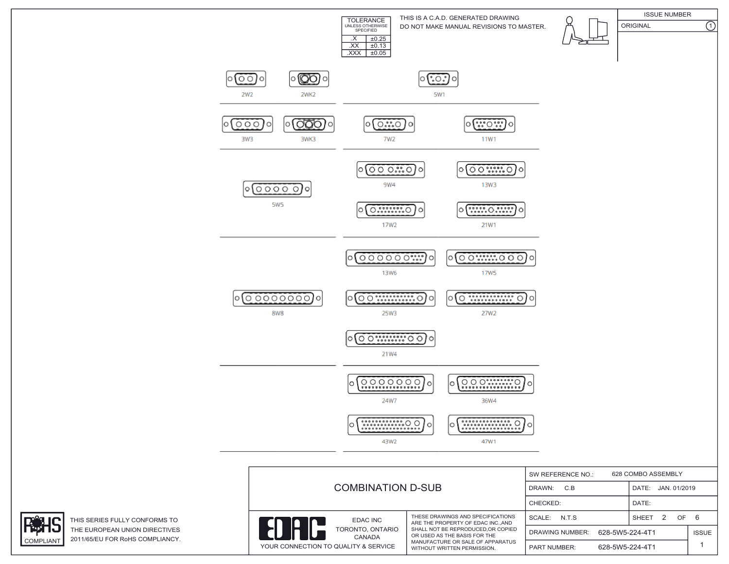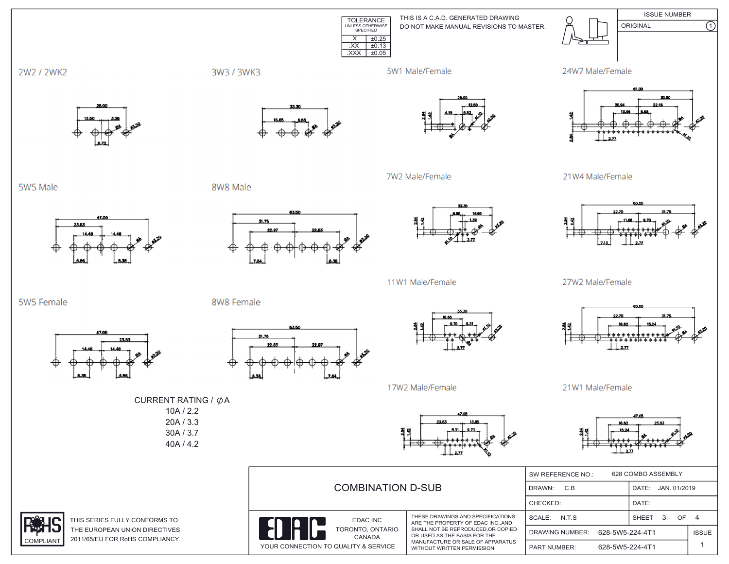TOLERANCE UNLESS OTHERWISE SPECIFIED  $\overline{XX}$   $\pm 0.13$ .XXX ±0.05DO NOT MAKE MANUAL REVISIONS TO MASTER. THIS IS A C.A.D. GENERATED DRAWING ISSUE NUMBER ORIGINAL (1)  $\overline{\text{.}x}$   $\overline{\text{+}0.25}$ 





 $277$ 



27W2 Male/Female



21W1 Male/Female



|                                                                                |                                                                                                                                                                                                                 | 628 COMBO ASSEMBLY<br>SW REFERENCE NO.:   |                       |              |  |
|--------------------------------------------------------------------------------|-----------------------------------------------------------------------------------------------------------------------------------------------------------------------------------------------------------------|-------------------------------------------|-----------------------|--------------|--|
| <b>COMBINATION D-SUB</b>                                                       |                                                                                                                                                                                                                 | C.B<br>DRAWN:                             | DATE:<br>JAN. 01/2019 |              |  |
|                                                                                |                                                                                                                                                                                                                 | CHECKED:                                  | DATE:                 |              |  |
| EDAC INC<br>TORONTO, ONTARIO<br>CANADA<br>YOUR CONNECTION TO QUALITY & SERVICE | THESE DRAWINGS AND SPECIFICATIONS<br>ARE THE PROPERTY OF EDAC INC., AND<br>SHALL NOT BE REPRODUCED.OR COPIED<br>OR USED AS THE BASIS FOR THE<br>MANUFACTURE OR SALE OF APPARATUS<br>WITHOUT WRITTEN PERMISSION. | N.T.S<br>SCALE:                           | SHEET<br>OF.<br>-3-   | - 4          |  |
|                                                                                |                                                                                                                                                                                                                 | 628-5W5-224-4T1<br><b>DRAWING NUMBER:</b> |                       | <b>ISSUE</b> |  |
|                                                                                |                                                                                                                                                                                                                 | 628-5W5-224-4T1<br><b>PART NUMBER:</b>    |                       |              |  |

5W5 Male

5W5 Female

47.00

23.53

2W2 / 2WK2

8W8 Male

8W8 Female

31.76

3W3 / 3WK3





7W2 Male/Female

5W1 Male/Female

83.50 M.78

53.50



11W1 Male/Female



17W2 Male/Female

CURRENT RATING /  $\phi$ A 10A / 2.2 20A / 3.3 30A / 3.7 40A / 4.2



23.53



THIS SERIES FULLY CONFORMS TO THE EUROPEAN UNION DIRECTIVES COMPLIANT 2011/65/EU FOR RoHS COMPLIANCY.